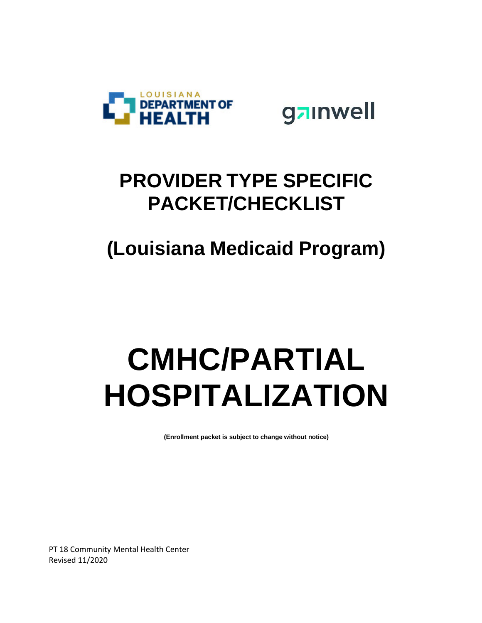



## **PROVIDER TYPE SPECIFIC PACKET/CHECKLIST**

## **(Louisiana Medicaid Program)**

## **CMHC/PARTIAL HOSPITALIZATION**

**(Enrollment packet is subject to change without notice)**

PT 18 Community Mental Health Center Revised 11/2020